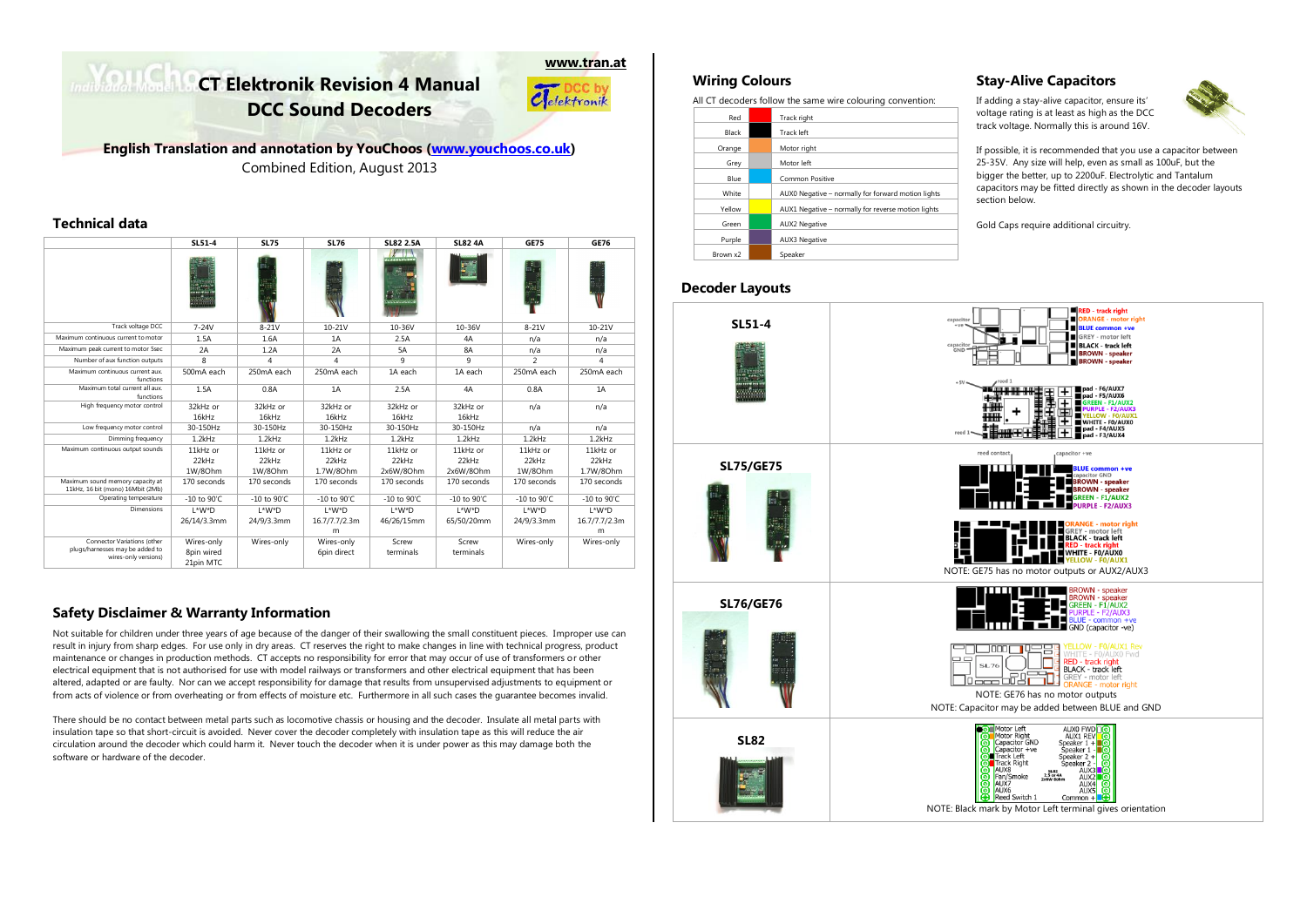# **CT Elektronik Revision 4 Manual DCC Sound Decoders**



**English Translation and annotation by YouChoos [\(www.youchoos.co.uk\)](http://www.youchoos.co.uk/)** Combined Edition, August 2013

## **Technical data**

|                                                                                        | SL51-4                                | <b>SL75</b>    | <b>SL76</b>               | <b>SL82 2.5A</b>           | <b>SL82 4A</b>        | <b>GE75</b>             | <b>GE76</b>    |
|----------------------------------------------------------------------------------------|---------------------------------------|----------------|---------------------------|----------------------------|-----------------------|-------------------------|----------------|
|                                                                                        | inas<br>Indonesia                     |                |                           | $Y \cup$                   |                       |                         |                |
| Track voltage DCC                                                                      | $7-24V$                               | $8-21V$        | 10-21V                    | 10-36V                     | 10-36V                | $8-21V$                 | $10 - 21V$     |
| Maximum continuous current to motor                                                    | 1.5A                                  | 1.6A           | 1A                        | 2.5A                       | 4A                    | n/a                     | n/a            |
| Maximum peak current to motor 5sec                                                     | 2A                                    | 1.2A           | 2A                        | 5A                         | 8A                    | n/a                     | n/a            |
| Number of aux function outputs                                                         | 8                                     | 4              | 4                         | 9                          | 9                     | $\mathfrak{p}$          | 4              |
| Maximum continuous current aux.<br>functions                                           | 500mA each                            | 250mA each     | 250mA each                | 1A each                    | 1A each               | 250mA each              | 250mA each     |
| Maximum total current all aux<br>functions                                             | 1.5A                                  | 0.8A           | 1A                        | 2.5A                       | 4A                    | 0.8A                    | 1A             |
| High frequency motor control                                                           | 32kHz or                              | 32kHz or       | 32kHz or                  | 32kHz or                   | 32kHz or              | n/a                     | n/a            |
|                                                                                        | 16kHz                                 | 16kHz          | 16kHz                     | 16kHz                      | 16kHz                 |                         |                |
| Low frequency motor control                                                            | 30-150Hz                              | 30-150Hz       | 30-150Hz                  | 30-150Hz                   | 30-150Hz              | n/a                     | n/a            |
| Dimming frequency                                                                      | 1.2kHz                                | 1.2kHz         | 1.2kHz                    | 1.2kHz                     | 1.2kHz                | 1.2kHz                  | 1.2kHz         |
| Maximum continuous output sounds                                                       | 11kHz or                              | 11kHz or       | 11kHz or                  | 11kHz or                   | 11kHz or              | 11kHz or                | 11kHz or       |
|                                                                                        | 22kHz                                 | 22kHz          | 22kHz                     | 22kHz                      | 22kHz                 | 22kHz                   | 22kHz          |
|                                                                                        | 1W/80hm                               | 1W/80hm        | 1.7W/80hm                 | 2x6W/8Ohm                  | 2x6W/8Ohm             | 1W/80hm                 | 1.7W/80hm      |
| Maximum sound memory capacity at<br>11kHz, 16 bit (mono) 16Mbit (2Mb)                  | 170 seconds                           | 170 seconds    | 170 seconds               | 170 seconds<br>170 seconds |                       | 170 seconds             | 170 seconds    |
| Operating temperature                                                                  | $-10$ to $90^{\circ}$ C               | $-10$ to 90°C. | $-10$ to 90°C.            | $-10$ to $90^{\circ}$ C    | $-10$ to $90^\circ$ C | $-10$ to $90^{\circ}$ C | $-10$ to 90°C. |
| <b>Dimensions</b>                                                                      | L*W*D                                 | L*W*D          | $L*W*D$                   | $L*W*D$                    | L*W*D                 | $L^*W^*D$               | L*W*D          |
|                                                                                        | 26/14/3.3mm                           | 24/9/3.3mm     | 16.7/7.7/2.3m             | 46/26/15mm                 | 65/50/20mm            | 24/9/3.3mm              | 16.7/7.7/2.3m  |
|                                                                                        |                                       |                | m                         |                            |                       |                         | m              |
| Connector Variations (other<br>plugs/harnesses may be added to<br>wires-only versions) | Wires-only<br>8pin wired<br>21pin MTC | Wires-only     | Wires-only<br>6pin direct | Screw<br>terminals         | Screw<br>terminals    | Wires-only              | Wires-only     |

# **Safety Disclaimer & Warranty Information**

Not suitable for children under three years of age because of the danger of their swallowing the small constituent pieces. Improper use can result in injury from sharp edges. For use only in dry areas. CT reserves the right to make changes in line with technical progress, product maintenance or changes in production methods. CT accepts no responsibility for error that may occur of use of transformers or other electrical equipment that is not authorised for use with model railways or transformers and other electrical equipment that has been altered, adapted or are faulty. Nor can we accept responsibility for damage that results from unsupervised adjustments to equipment or from acts of violence or from overheating or from effects of moisture etc. Furthermore in all such cases the guarantee becomes invalid.

There should be no contact between metal parts such as locomotive chassis or housing and the decoder. Insulate all metal parts with insulation tape so that short-circuit is avoided. Never cover the decoder completely with insulation tape as this will reduce the air circulation around the decoder which could harm it. Never touch the decoder when it is under power as this may damage both the software or hardware of the decoder.

# **Wiring Colours**

All CT decoders follow the same wire colouring convention:

| Red      | Track right                                        |
|----------|----------------------------------------------------|
| Black    | <b>Track left</b>                                  |
| Orange   | Motor right                                        |
| Grey     | Motor left                                         |
| Blue     | Common Positive                                    |
| White    | AUX0 Negative - normally for forward motion lights |
| Yellow   | AUX1 Negative - normally for reverse motion lights |
| Green    | <b>AUX2 Negative</b>                               |
| Purple   | <b>AUX3 Negative</b>                               |
| Brown x2 | Speaker                                            |

# **Decoder Layouts**

# **Stay-Alive Capacitors**

If adding a stay-alive capacitor, ensure its' voltage rating is at least as high as the DCC track voltage. Normally this is around 16V.



If possible, it is recommended that you use a capacitor between 25-35V. Any size will help, even as small as 100uF, but the bigger the better, up to 2200uF. Electrolytic and Tantalum capacitors may be fitted directly as shown in the decoder layouts section below.

Gold Caps require additional circuitry.

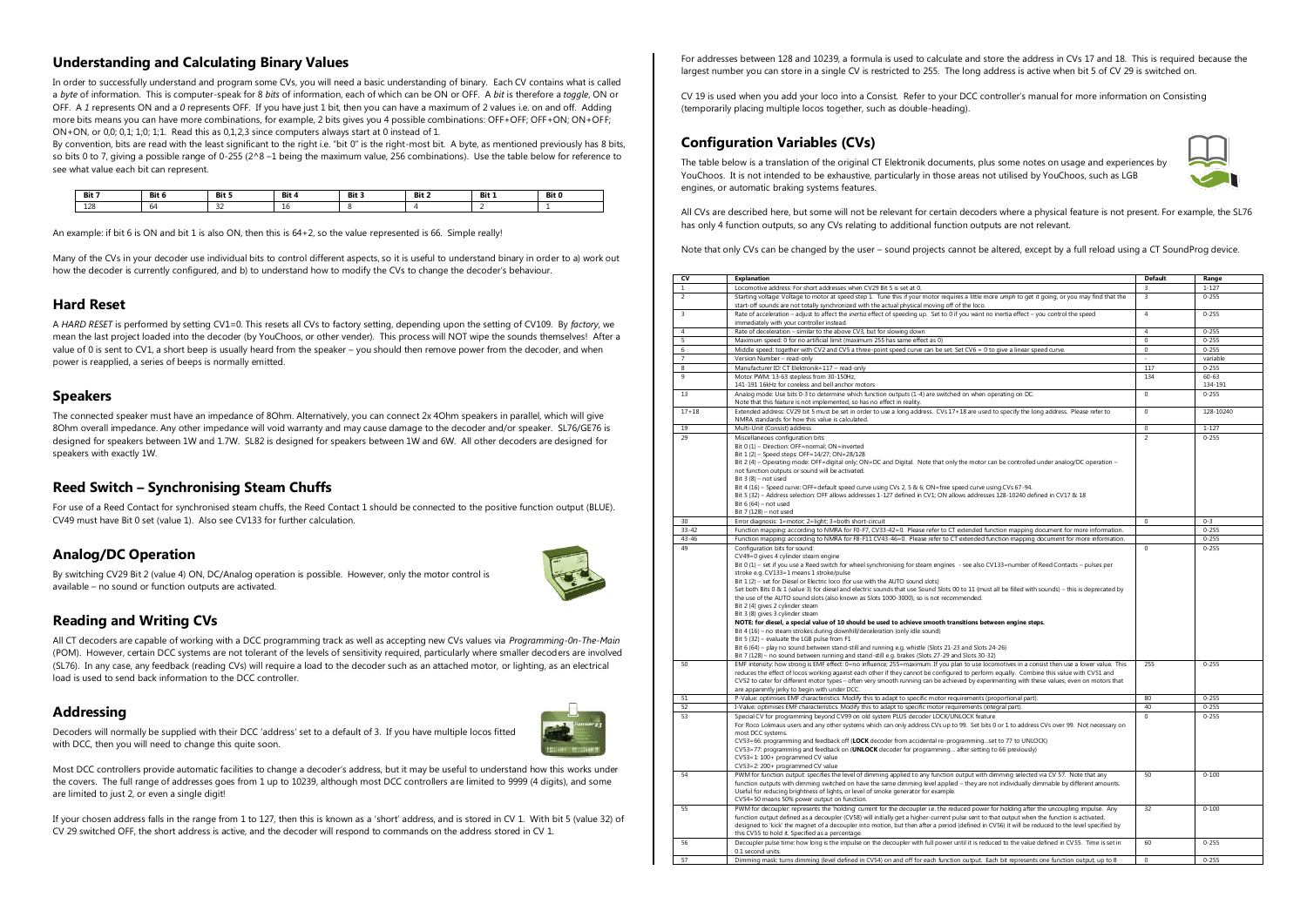# **Understanding and Calculating Binary Values**

In order to successfully understand and program some CVs, you will need a basic understanding of binary. Each CV contains what is called a *byte* of information. This is computer-speak for 8 *bits* of information, each of which can be ON or OFF. A *bit* is therefore a *toggle*, ON or OFF. A *1* represents ON and a *0* represents OFF. If you have just 1 bit, then you can have a maximum of 2 values i.e. on and off. Adding more bits means you can have more combinations, for example, 2 bits gives you 4 possible combinations: OFF+OFF; OFF+ON; ON+OFF; ON+ON, or 0,0; 0,1; 1;0; 1;1. Read this as 0,1,2,3 since computers always start at 0 instead of 1.

By convention, bits are read with the least significant to the right i.e. "bit 0" is the right-most bit. A byte, as mentioned previously has 8 bits, so bits 0 to 7, giving a possible range of 0-255 ( $2^8$  –1 being the maximum value, 256 combinations). Use the table below for reference to see what value each bit can represent.

| Bit 7 | Bit 6          | Bit 5       | Bit 4 | Bit 3 | Bit 2 | Bit 1 | Bit 0 |
|-------|----------------|-------------|-------|-------|-------|-------|-------|
| 128   | 6 <sup>d</sup> | $\sim$<br>- | ΨU    |       |       |       |       |

An example: if bit 6 is ON and bit 1 is also ON, then this is 64+2, so the value represented is 66. Simple really!

Many of the CVs in your decoder use individual bits to control different aspects, so it is useful to understand binary in order to a) work out how the decoder is currently configured, and b) to understand how to modify the CVs to change the decoder's behaviour.

#### **Hard Reset**

A *HARD RESET* is performed by setting CV1=0. This resets all CVs to factory setting, depending upon the setting of CV109. By *factory*, we mean the last project loaded into the decoder (by YouChoos, or other vender). This process will NOT wipe the sounds themselves! After a value of 0 is sent to CV1, a short beep is usually heard from the speaker – you should then remove power from the decoder, and when power is reapplied, a series of beeps is normally emitted.

#### **Speakers**

The connected speaker must have an impedance of 8Ohm. Alternatively, you can connect 2x 4Ohm speakers in parallel, which will give 8Ohm overall impedance. Any other impedance will void warranty and may cause damage to the decoder and/or speaker. SL76/GE76 is designed for speakers between 1W and 1.7W. SL82 is designed for speakers between 1W and 6W. All other decoders are designed for speakers with exactly 1W.

## **Reed Switch – Synchronising Steam Chuffs**

For use of a Reed Contact for synchronised steam chuffs, the Reed Contact 1 should be connected to the positive function output (BLUE). CV49 must have Bit 0 set (value 1). Also see CV133 for further calculation.

#### **Analog/DC Operation**

By switching CV29 Bit 2 (value 4) ON, DC/Analog operation is possible. However, only the motor control is available – no sound or function outputs are activated.



## **Reading and Writing CVs**

All CT decoders are capable of working with a DCC programming track as well as accepting new CVs values via *Programming-0n-The-Main* (POM). However, certain DCC systems are not tolerant of the levels of sensitivity required, particularly where smaller decoders are involved (SL76). In any case, any feedback (reading CVs) will require a load to the decoder such as an attached motor, or lighting, as an electrical load is used to send back information to the DCC controller.

#### **Addressing**



Decoders will normally be supplied with their DCC 'address' set to a default of 3. If you have multiple locos fitted with DCC, then you will need to change this quite soon.

Most DCC controllers provide automatic facilities to change a decoder's address, but it may be useful to understand how this works under the covers. The full range of addresses goes from 1 up to 10239, although most DCC controllers are limited to 9999 (4 digits), and some are limited to just 2, or even a single digit!

If your chosen address falls in the range from 1 to 127, then this is known as a 'short' address, and is stored in CV 1. With bit 5 (value 32) of CV 29 switched OFF, the short address is active, and the decoder will respond to commands on the address stored in CV 1.

For addresses between 128 and 10239, a formula is used to calculate and store the address in CVs 17 and 18. This is required because the largest number you can store in a single CV is restricted to 255. The long address is active when bit 5 of CV 29 is switched on.

CV 19 is used when you add your loco into a Consist. Refer to your DCC controller's manual for more information on Consisting (temporarily placing multiple locos together, such as double-heading).

# **Configuration Variables (CVs)**



The table below is a translation of the original CT Elektronik documents, plus some notes on usage and experiences by YouChoos. It is not intended to be exhaustive, particularly in those areas not utilised by YouChoos, such as LGB engines, or automatic braking systems features.

All CVs are described here, but some will not be relevant for certain decoders where a physical feature is not present. For example, the SL76 has only 4 function outputs, so any CVs relating to additional function outputs are not relevant.

Note that only CVs can be changed by the user – sound projects cannot be altered, except by a full reload using a CT SoundProg device.

| CV             | <b>Explanation</b>                                                                                                                                  | <b>Default</b> | Range     |
|----------------|-----------------------------------------------------------------------------------------------------------------------------------------------------|----------------|-----------|
| $\mathbf{1}$   | Locomotive address: For short addresses when CV29 Bit 5 is set at 0.                                                                                | 3              | $1 - 127$ |
| $\overline{2}$ | Starting voltage: Voltage to motor at speed step 1. Tune this if your motor requires a little more umph to get it going, or you may find that the   | $\overline{3}$ | $0 - 255$ |
|                | start-off sounds are not totally synchronized with the actual physical moving off of the loco.                                                      |                |           |
| 3              | Rate of acceleration - adjust to affect the <i>inertia</i> effect of speeding up. Set to 0 if you want no inertia effect - you control the speed    | $\overline{4}$ | $0 - 255$ |
|                | immediately with your controller instead.                                                                                                           |                |           |
| $\overline{4}$ | Rate of deceleration - similar to the above CV3, but for slowing down                                                                               | $\overline{4}$ | $0 - 255$ |
| 5              | Maximum speed: 0 for no artificial limit (maximum 255 has same effect as 0)                                                                         | $\mathbf{0}$   | $0 - 255$ |
| 6              | Middle speed: together with CV2 and CV5 a three-point speed curve can be set. Set CV6 = 0 to give a linear speed curve.                             | $\overline{0}$ | $0 - 255$ |
| $\overline{7}$ | Version Number - read-only                                                                                                                          | ÷              | variable  |
| 8              | Manufacturer ID: CT Elektronik=117 - read-only                                                                                                      | 117            | $0 - 255$ |
| 9              | Motor PWM: 13-63 stepless from 30-150Hz,                                                                                                            | 134            | $60 - 63$ |
|                | 141-191 16kHz for coreless and bell anchor motors                                                                                                   |                | 134-191   |
| 13             | Analog mode: Use bits 0-3 to determine which function outputs (1-4) are switched on when operating on DC.                                           | $\mathbf{0}$   | $0 - 255$ |
|                | Note that this feature is not implemented, so has no effect in reality.                                                                             |                |           |
| $17 + 18$      | Extended address: CV29 bit 5 must be set in order to use a long address. CVs 17+18 are used to specify the long address. Please refer to            | $\mathbf 0$    | 128-10240 |
|                | NMRA standards for how this value is calculated.                                                                                                    |                |           |
| 19             | Multi-Unit (Consist) address                                                                                                                        | $\Omega$       | $1 - 127$ |
| 29             | Miscellaneous configuration bits:                                                                                                                   | $\overline{2}$ | $0 - 255$ |
|                | Bit 0 (1) - Direction: OFF=normal; ON=inverted                                                                                                      |                |           |
|                | Bit 1 (2) - Speed steps: OFF=14/27; ON=28/128                                                                                                       |                |           |
|                | Bit 2 (4) - Operating mode: OFF=digital only; ON=DC and Digital. Note that only the motor can be controlled under analog/DC operation -             |                |           |
|                | not function outputs or sound will be activated.                                                                                                    |                |           |
|                | Bit $3(8)$ – not used                                                                                                                               |                |           |
|                | Bit 4 (16) - Speed curve: OFF=default speed curve using CVs 2, 5 & 6; ON=free speed curve using CVs 67-94.                                          |                |           |
|                | Bit 5 (32) - Address selection: OFF allows addresses 1-127 defined in CV1; ON allows addresses 128-10240 defined in CV17 & 18                       |                |           |
|                | Bit $6(64)$ - not used                                                                                                                              |                |           |
|                | Bit 7 (128) - not used                                                                                                                              |                |           |
| 30             | Error diagnosis: 1=motor; 2=light; 3=both short-circuit                                                                                             | $\overline{0}$ | $0 - 3$   |
| $33 - 42$      | Function mapping: according to NMRA for F0-F7, CV33-42=0. Please refer to CT extended function mapping document for more information.               |                | $0 - 255$ |
| 43-46          | Function mapping: according to NMRA for F8-F11 CV43-46=0. Please refer to CT extended function mapping document for more information.               |                | $0 - 255$ |
| 49             | Configuration bits for sound:                                                                                                                       | $\mathbf{0}$   | $0 - 255$ |
|                | CV49=0 gives 4 cylinder steam engine                                                                                                                |                |           |
|                | Bit 0 (1) - set if you use a Reed switch for wheel synchronising for steam engines - see also CV133=number of Reed Contacts - pulses per            |                |           |
|                | stroke e.g. CV133=1 means 1 stroke/pulse                                                                                                            |                |           |
|                | Bit 1 (2) - set for Diesel or Electric loco (for use with the AUTO sound slots)                                                                     |                |           |
|                | Set both Bits 0 & 1 (value 3) for diesel and electric sounds that use Sound Slots 00 to 11 (must all be filled with sounds) - this is deprecated by |                |           |
|                | the use of the AUTO sound slots (also known as Slots 1000-3000), so is not recommended.                                                             |                |           |
|                | Bit 2 (4) gives 2 cylinder steam                                                                                                                    |                |           |
|                | Bit 3 (8) gives 3 cylinder steam                                                                                                                    |                |           |
|                | NOTE: for diesel, a special value of 10 should be used to achieve smooth transitions between engine steps.                                          |                |           |
|                | Bit 4 (16) - no steam strokes during downhill/deceleration (only idle sound)                                                                        |                |           |
|                | Bit 5 (32) - evaluate the LGB pulse from F1                                                                                                         |                |           |
|                | Bit 6 (64) - play no sound between stand-still and running e.g. whistle (Slots 21-23 and Slots 24-26)                                               |                |           |
|                | Bit 7 (128) - no sound between running and stand-still e.g. brakes (Slots 27-29 and Slots 30-32)                                                    |                |           |
| 50             | EMF intensity: how strong is EMF effect: 0=no influence; 255=maximum. If you plan to use locomotives in a consist then use a lower value. This      | 255            | $0 - 255$ |
|                | reduces the effect of locos working against each other if they cannot be configured to perform equally. Combine this value with CV51 and            |                |           |
|                | CV52 to cater for different motor types - often very smooth running can be achieved by experimenting with these values, even on motors that         |                |           |
|                | are apparently jerky to begin with under DCC.                                                                                                       |                |           |
| 51             | P-Value: optimises EMF characteristics. Modify this to adapt to specific motor requirements (proportional part).                                    | 80             | $0 - 255$ |
| 52             | I-Value: optimises EMF characteristics. Modify this to adapt to specific motor requirements (integral part).                                        | 40             | $0 - 255$ |
| 53             | Special CV for programming beyond CV99 on old system PLUS decoder LOCK/UNLOCK feature                                                               | $\overline{0}$ | $0 - 255$ |
|                | For Roco Lokmaus users and any other systems which can only address CVs up to 99. Set bits 0 or 1 to address CVs over 99. Not necessary on          |                |           |
|                | most DCC systems.                                                                                                                                   |                |           |
|                | CV53=66: programming and feedback off (LOCK decoder from accidental re-programmingset to 77 to UNLOCK)                                              |                |           |
|                | CV53=77: programming and feedback on (UNLOCK decoder for programming after setting to 66 previously)                                                |                |           |
|                | CV53=1: 100+ programmed CV value                                                                                                                    |                |           |
|                | CV53=2: 200+ programmed CV value                                                                                                                    |                |           |
| 54             | PWM for function output: specifies the level of dimming applied to any function output with dimming selected via CV 57. Note that any               | 50             | $0 - 100$ |
|                | function outputs with dimming switched on have the same dimming level applied - they are not individually dimmable by different amounts.            |                |           |
|                | Useful for reducing brightness of lights, or level of smoke generator for example.                                                                  |                |           |
|                | CV54=50 means 50% power output on function.                                                                                                         |                |           |
| 55             | PWM for decoupler represents the 'holding' current for the decoupler i.e. the reduced power for holding after the uncoupling impulse. Any           | 32             | $0 - 100$ |
|                | function output defined as a decoupler (CV58) will initially get a higher-current pulse sent to that output when the function is activated,         |                |           |
|                | designed to 'kick' the magnet of a decoupler into motion, but then after a period (defined in CV56) it will be reduced to the level specified by    |                |           |
|                | this CV55 to hold it. Specified as a percentage.                                                                                                    |                |           |
| 56             | Decoupler pulse time: how long is the impulse on the decoupler with full power until it is reduced to the value defined in CV55. Time is set in     | 60             | $0 - 255$ |
|                | 0.1 second units.                                                                                                                                   |                |           |
| 57             | Dimming mask: tums dimming (level defined in CV54) on and off for each function output. Each bit represents one function output, up to 8            | 0              | $0 - 255$ |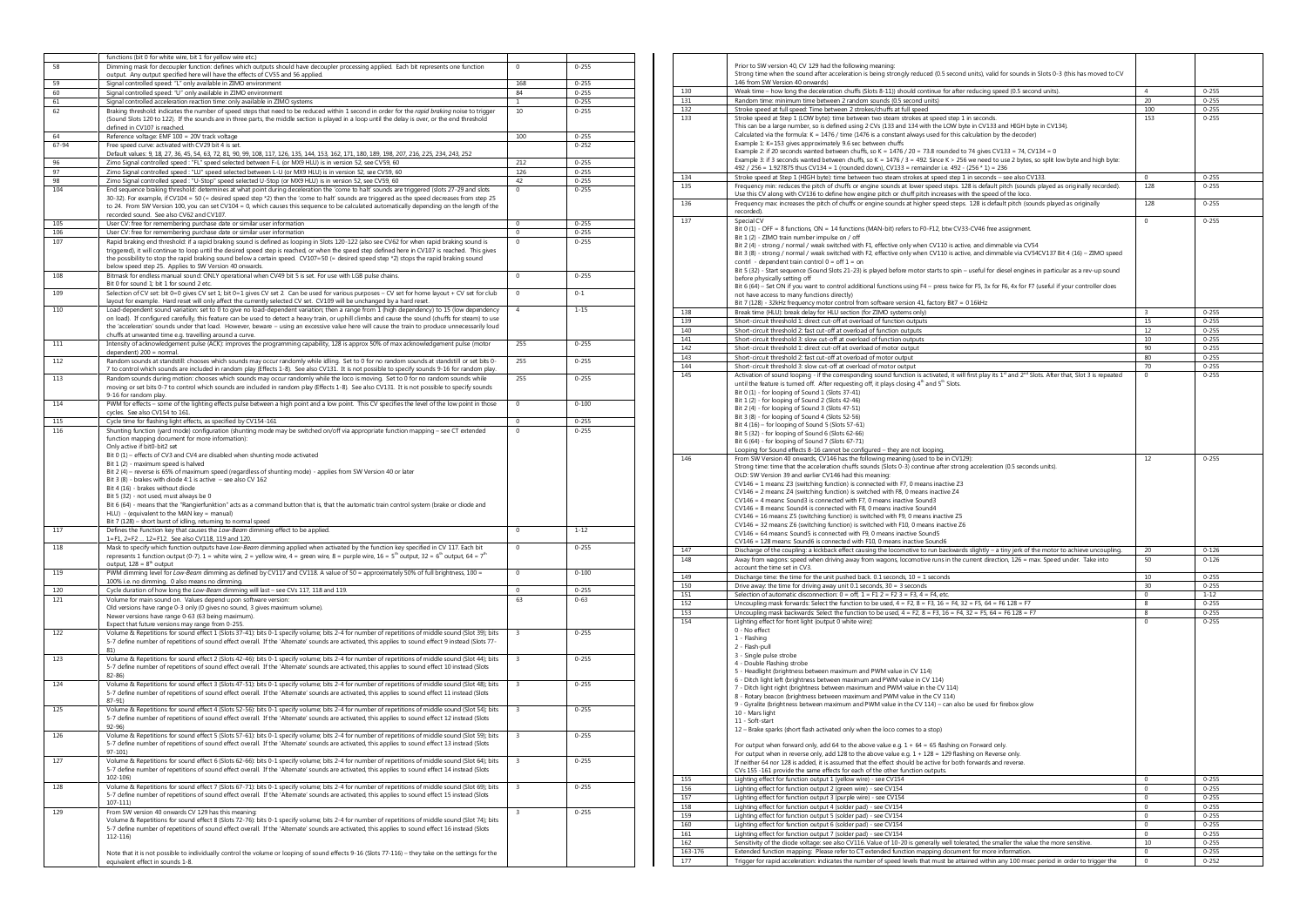|       | functions (bit 0 for white wire, bit 1 for yellow wire etc.)                                                                                                                                                                                                                                                                                                                                                                                                                                                                                                                          |                         |           |
|-------|---------------------------------------------------------------------------------------------------------------------------------------------------------------------------------------------------------------------------------------------------------------------------------------------------------------------------------------------------------------------------------------------------------------------------------------------------------------------------------------------------------------------------------------------------------------------------------------|-------------------------|-----------|
| 58    | Dimming mask for decoupler function: defines which outputs should have decoupler processing applied. Each bit represents one function                                                                                                                                                                                                                                                                                                                                                                                                                                                 | $\mathbf 0$             | $0 - 255$ |
|       | output. Any output specified here will have the effects of CV55 and 56 applied.                                                                                                                                                                                                                                                                                                                                                                                                                                                                                                       |                         |           |
| 59    | Signal controlled speed: "L" only available in ZIMO environment                                                                                                                                                                                                                                                                                                                                                                                                                                                                                                                       | 168                     | $0 - 255$ |
| 60    | Signal controlled speed: "U" only available in ZIMO environment                                                                                                                                                                                                                                                                                                                                                                                                                                                                                                                       | 84                      | $0 - 255$ |
| 61    | Signal controlled acceleration reaction time: only available in ZIMO systems                                                                                                                                                                                                                                                                                                                                                                                                                                                                                                          | 1                       | $0 - 255$ |
| 62    | Braking threshold: indicates the number of speed steps that need to be reduced within 1 second in order for the rapid braking noise to trigger                                                                                                                                                                                                                                                                                                                                                                                                                                        | 10                      | $0 - 255$ |
|       | (Sound Slots 120 to 122). If the sounds are in three parts, the middle section is played in a loop until the delay is over, or the end threshold<br>defined in CV107 is reached.                                                                                                                                                                                                                                                                                                                                                                                                      |                         |           |
| 64    | Reference voltage: EMF 100 = 20V track voltage                                                                                                                                                                                                                                                                                                                                                                                                                                                                                                                                        |                         | $0 - 255$ |
|       | Free speed curve: activated with CV29 bit 4 is set.                                                                                                                                                                                                                                                                                                                                                                                                                                                                                                                                   | 100                     | $0 - 252$ |
| 67-94 | Default values: 9, 18, 27, 36, 45, 54, 63, 72, 81, 90, 99, 108, 117, 126, 135, 144, 153, 162, 171, 180, 189, 198, 207, 216, 225, 234, 243, 252                                                                                                                                                                                                                                                                                                                                                                                                                                        |                         |           |
|       |                                                                                                                                                                                                                                                                                                                                                                                                                                                                                                                                                                                       |                         |           |
| 96    | Zimo Signal controlled speed : "FL" speed selected between F-L (or MX9 HLU) is in version 52, see CV59, 60                                                                                                                                                                                                                                                                                                                                                                                                                                                                            | 212                     | $0 - 255$ |
| 97    | Zimo Signal controlled speed : "LU" speed selected between L-U (or MX9 HLU) is in version 52, see CV59, 60                                                                                                                                                                                                                                                                                                                                                                                                                                                                            | 126                     | $0 - 255$ |
| 98    | Zimo Signal controlled speed: "U-Stop" speed selected U-Stop (or MX9 HLU) is in version 52, see CV59, 60                                                                                                                                                                                                                                                                                                                                                                                                                                                                              | 42                      | $0 - 255$ |
| 104   | End sequence braking threshold: determines at what point during deceleration the 'come to halt' sounds are triggered (slots 27-29 and slots<br>30-32). For example, if CV104 = 50 (= desired speed step *2) then the 'come to halt' sounds are triggered as the speed decreases from step 25<br>to 24. From SW Version 100, you can set CV104 = 0, which causes this sequence to be calculated automatically depending on the length of the<br>recorded sound. See also CV62 and CV107.                                                                                               | 0                       | $0 - 255$ |
| 105   | User CV: free for remembering purchase date or similar user information                                                                                                                                                                                                                                                                                                                                                                                                                                                                                                               | $\,0\,$                 | $0 - 255$ |
| 106   | User CV: free for remembering purchase date or similar user information                                                                                                                                                                                                                                                                                                                                                                                                                                                                                                               | $\overline{0}$          | $0 - 255$ |
| 107   | Rapid braking end threshold: if a rapid braking sound is defined as looping in Slots 120-122 (also see CV62 for when rapid braking sound is                                                                                                                                                                                                                                                                                                                                                                                                                                           | $\Omega$                | $0 - 255$ |
|       | triggered), it will continue to loop until the desired speed step is reached, or when the speed step defined here in CV107 is reached. This gives<br>the possibility to stop the rapid braking sound below a certain speed. CV107=50 (= desired speed step *2) stops the rapid braking sound<br>below speed step 25. Applies to SW Version 40 onwards.                                                                                                                                                                                                                                |                         |           |
| 108   | Bitmask for endless manual sound: ONLY operational when CV49 bit 5 is set. For use with LGB pulse chains.<br>Bit 0 for sound 1: bit 1 for sound 2 etc.                                                                                                                                                                                                                                                                                                                                                                                                                                | $\Omega$                | $0 - 255$ |
| 109   | Selection of CV set: bit 0=0 gives CV set 1; bit 0=1 gives CV set 2. Can be used for various purposes - CV set for home layout + CV set for club                                                                                                                                                                                                                                                                                                                                                                                                                                      | $\pmb{0}$               | $0 - 1$   |
| 110   | layout for example. Hard reset will only affect the currently selected CV set. CV109 will be unchanged by a hard reset<br>Load-dependent sound variation: set to 0 to give no load-dependent variation; then a range from 1 (high dependency) to 15 (low dependency<br>on load). If configured carefully, this feature can be used to detect a heavy train, or uphill climbs and cause the sound (chuffs for steam) to use                                                                                                                                                            | $\overline{a}$          | $1 - 15$  |
|       | the 'acceleration' sounds under that load. However, beware - using an excessive value here will cause the train to produce unnecessarily loud<br>chuffs at unwanted time e.g. travelling around a curve.                                                                                                                                                                                                                                                                                                                                                                              |                         |           |
| 111   | Intensity of acknowledgement pulse (ACK): improves the programming capability, 128 is approx 50% of max acknowledgement pulse (motor<br>dependent) 200 = normal.                                                                                                                                                                                                                                                                                                                                                                                                                      | 255                     | $0 - 255$ |
| 112   | Random sounds at standstill: chooses which sounds may occur randomly while idling. Set to 0 for no random sounds at standstill or set bits 0-<br>7 to control which sounds are included in random play (Effects 1-8). See also CV131. It is not possible to specify sounds 9-16 for random play.                                                                                                                                                                                                                                                                                      | 255                     | $0 - 255$ |
| 113   | Random sounds during motion: chooses which sounds may occur randomly while the loco is moving. Set to 0 for no random sounds while<br>moving or set bits 0-7 to control which sounds are included in random play (Effects 1-8). See also CV131. It is not possible to specify sounds<br>9-16 for random play.                                                                                                                                                                                                                                                                         | 255                     | $0 - 255$ |
| 114   | PWM for effects - some of the lighting effects pulse between a high point and a low point. This CV specifies the level of the low point in those<br>cycles. See also CV154 to 161.                                                                                                                                                                                                                                                                                                                                                                                                    | $\mathbf 0$             | $0 - 100$ |
| 115   | Cycle time for flashing light effects, as specified by CV154-161                                                                                                                                                                                                                                                                                                                                                                                                                                                                                                                      | $^{\circ}$              | $0 - 255$ |
| 116   | Shunting function (yard mode) configuration (shunting mode may be switched on/off via appropriate function mapping - see CT extended                                                                                                                                                                                                                                                                                                                                                                                                                                                  | $^{\circ}$              | $0 - 255$ |
|       | Bit 0 (1) - effects of CV3 and CV4 are disabled when shunting mode activated<br>Bit 1 (2) - maximum speed is halved<br>Bit 2 (4) - reverse is 65% of maximum speed (regardless of shunting mode) - applies from SW Version 40 or later<br>Bit 3 (8) - brakes with diode 4:1 is active - see also CV 162<br>Bit 4 (16) - brakes without diode<br>Bit 5 (32) - not used, must always be 0<br>Bit 6 (64) - means that the "Rangierfunktion" acts as a command button that is, that the automatic train control system (brake or diode and<br>HLU) - (equivalent to the MAN key = manual) |                         |           |
| 117   | Bit 7 (128) - short burst of idling, returning to normal speed<br>Defines the Function key that causes the Low-Beam dimming effect to be applied.                                                                                                                                                                                                                                                                                                                                                                                                                                     | $\mathbf 0$             | $1 - 12$  |
| 118   | 1=F1, 2=F2  12=F12. See also CV118, 119 and 120.<br>Mask to specify which function outputs have Low-Beam dimming applied when activated by the function key specified in CV 117. Each bit                                                                                                                                                                                                                                                                                                                                                                                             | $\Omega$                | $0 - 255$ |
|       | represents 1 function output (0-7). 1 = white wire, 2 = yellow wire, 4 = green wire, 8 = purple wire, 16 = 5 <sup>th</sup> output, 32 = 6 <sup>th</sup> output, 64 = 7 <sup>th</sup><br>output, $128 = 8th$ output                                                                                                                                                                                                                                                                                                                                                                    |                         |           |
| 119   | PWM dimming level for Low-Beam dimming as defined by CV117 and CV118. A value of 50 = approximately 50% of full brightness, 100 =                                                                                                                                                                                                                                                                                                                                                                                                                                                     | $\Omega$                | $0 - 100$ |
| 120   | 100% i.e. no dimming. 0 also means no dimming.<br>Cycle duration of how long the Low-Beam dimming will last - see CVs 117, 118 and 119.                                                                                                                                                                                                                                                                                                                                                                                                                                               | $\mathbf 0$             | $0 - 255$ |
|       |                                                                                                                                                                                                                                                                                                                                                                                                                                                                                                                                                                                       |                         |           |
| 121   | Volume for main sound on. Values depend upon software version:<br>Old versions have range 0-3 only (0 gives no sound, 3 gives maximum volume).<br>Newer versions have range 0-63 (63 being maximum).<br>Expect that future versions may range from 0-255.                                                                                                                                                                                                                                                                                                                             | 63                      | $0 - 63$  |
| 122   | Volume & Repetitions for sound effect 1 (Slots 37-41): bits 0-1 specify volume; bits 2-4 for number of repetitions of middle sound (Slot 39); bits<br>5-7 define number of repetitions of sound effect overall. If the 'Alternate' sounds are activated, this applies to sound effect 9 instead (Slots 77-<br>81)                                                                                                                                                                                                                                                                     | $\overline{3}$          | $0 - 255$ |
| 123   | Volume & Repetitions for sound effect 2 (Slots 42-46): bits 0-1 specify volume; bits 2-4 for number of repetitions of middle sound (Slot 44); bits<br>5-7 define number of repetitions of sound effect overall. If the 'Alternate' sounds are activated, this applies to sound effect 10 instead (Slots<br>$82 - 86$                                                                                                                                                                                                                                                                  | 3                       | $0 - 255$ |
| 124   | Volume & Repetitions for sound effect 3 (Slots 47-51): bits 0-1 specify volume; bits 2-4 for number of repetitions of middle sound (Slot 48); bits<br>5-7 define number of repetitions of sound effect overall. If the 'Alternate' sounds are activated, this applies to sound effect 11 instead (Slots<br>$87 - 91$                                                                                                                                                                                                                                                                  | 3                       | $0 - 255$ |
| 125   | Volume & Repetitions for sound effect 4 (Slots 52-56): bits 0-1 specify volume; bits 2-4 for number of repetitions of middle sound (Slot 54); bits<br>5-7 define number of repetitions of sound effect overall. If the 'Alternate' sounds are activated, this applies to sound effect 12 instead (Slots<br>$92 - 96$                                                                                                                                                                                                                                                                  | 3                       | $0 - 255$ |
| 126   | Volume & Repetitions for sound effect 5 (Slots 57-61): bits 0-1 specify volume; bits 2-4 for number of repetitions of middle sound (Slot 59); bits<br>5-7 define number of repetitions of sound effect overall. If the 'Alternate' sounds are activated, this applies to sound effect 13 instead (Slots<br>97-101)                                                                                                                                                                                                                                                                    | 3                       | $0 - 255$ |
| 127   | Volume & Repetitions for sound effect 6 (Slots 62-66): bits 0-1 specify volume; bits 2-4 for number of repetitions of middle sound (Slot 64); bits<br>5-7 define number of repetitions of sound effect overall. If the 'Alternate' sounds are activated, this applies to sound effect 14 instead (Slots<br>$102 - 106$                                                                                                                                                                                                                                                                | $\overline{\mathbf{3}}$ | $0 - 255$ |
| 128   | Volume & Repetitions for sound effect 7 (Slots 67-71): bits 0-1 specify volume; bits 2-4 for number of repetitions of middle sound (Slot 69); bits<br>5-7 define number of repetitions of sound effect overall. If the 'Alternate' sounds are activated, this applies to sound effect 15 instead (Slots<br>$107 - 111$                                                                                                                                                                                                                                                                | 3                       | $0 - 255$ |
| 129   | From SW version 40 onwards CV 129 has this meaning:<br>Volume & Repetitions for sound effect 8 (Slots 72-76): bits 0-1 specify volume; bits 2-4 for number of repetitions of middle sound (Slot 74); bits<br>5-7 define number of repetitions of sound effect overall. If the 'Alternate' sounds are activated, this applies to sound effect 16 instead (Slots<br>$112 - 116$                                                                                                                                                                                                         | 3                       | $0 - 255$ |
|       | Note that it is not possible to individually control the volume or looping of sound effects 9-16 (Slots 77-116) - they take on the settings for the<br>equivalent effect in sounds 1-8.                                                                                                                                                                                                                                                                                                                                                                                               |                         |           |

|         | Prior to SW version 40, CV 129 had the following meaning:<br>Strong time when the sound after acceleration is being strongly reduced (0.5 second units), valid for sounds in Slots 0-3 (this has moved to CV                                                                                                                                                                                                                                                                                                                                                                                                                                                                                                                                                                                                                                                                                                                                                                                                                                                    |                     |           |
|---------|-----------------------------------------------------------------------------------------------------------------------------------------------------------------------------------------------------------------------------------------------------------------------------------------------------------------------------------------------------------------------------------------------------------------------------------------------------------------------------------------------------------------------------------------------------------------------------------------------------------------------------------------------------------------------------------------------------------------------------------------------------------------------------------------------------------------------------------------------------------------------------------------------------------------------------------------------------------------------------------------------------------------------------------------------------------------|---------------------|-----------|
|         | 146 from SW Version 40 onwards)                                                                                                                                                                                                                                                                                                                                                                                                                                                                                                                                                                                                                                                                                                                                                                                                                                                                                                                                                                                                                                 |                     |           |
| 130     | Weak time - how long the deceleration chuffs (Slots 8-11)) should continue for after reducing speed (0.5 second units).                                                                                                                                                                                                                                                                                                                                                                                                                                                                                                                                                                                                                                                                                                                                                                                                                                                                                                                                         | $\overline{4}$      | $0 - 255$ |
| 131     | Random time: minimum time between 2 random sounds (0.5 second units)                                                                                                                                                                                                                                                                                                                                                                                                                                                                                                                                                                                                                                                                                                                                                                                                                                                                                                                                                                                            | 20                  | $0 - 255$ |
| 132     | Stroke speed at full speed: Time between 2 strokes/chuffs at full speed                                                                                                                                                                                                                                                                                                                                                                                                                                                                                                                                                                                                                                                                                                                                                                                                                                                                                                                                                                                         | 100                 | $0 - 255$ |
| 133     | Stroke speed at Step 1 (LOW byte): time between two steam strokes at speed step 1 in seconds.<br>This can be a large number, so is defined using 2 CVs (133 and 134 with the LOW byte in CV133 and HIGH byte in CV134).<br>Calculated via the formula: K = 1476 / time (1476 is a constant always used for this calculation by the decoder)<br>Example 1: K=153 gives approximately 9.6 sec between chuffs<br>Example 2: if 20 seconds wanted between chuffs, so K = 1476 / 20 = 73.8 rounded to 74 gives CV133 = 74, CV134 = 0<br>Example 3: if 3 seconds wanted between chuffs, so K = 1476 / 3 = 492. Since K > 256 we need to use 2 bytes, so split low byte and high byte:<br>492 / 256 = 1.927875 thus CV134 = 1 (rounded down), CV133 = remainder i.e. 492 - (256 * 1) = 236                                                                                                                                                                                                                                                                             | 153                 | $0 - 255$ |
| 134     | Stroke speed at Step 1 (HIGH byte): time between two steam strokes at speed step 1 in seconds - see also CV133.                                                                                                                                                                                                                                                                                                                                                                                                                                                                                                                                                                                                                                                                                                                                                                                                                                                                                                                                                 | $\Omega$            | $0 - 255$ |
| 135     | Frequency min: reduces the pitch of chuffs or engine sounds at lower speed steps. 128 is default pitch (sounds played as originally recorded).                                                                                                                                                                                                                                                                                                                                                                                                                                                                                                                                                                                                                                                                                                                                                                                                                                                                                                                  | 128                 | $0 - 255$ |
|         | Use this CV along with CV136 to define how engine pitch or chuff pitch increases with the speed of the loco.                                                                                                                                                                                                                                                                                                                                                                                                                                                                                                                                                                                                                                                                                                                                                                                                                                                                                                                                                    |                     |           |
| 136     | Frequency max increases the pitch of chuffs or engine sounds at higher speed steps. 128 is default pitch (sounds played as originally<br>recorded).                                                                                                                                                                                                                                                                                                                                                                                                                                                                                                                                                                                                                                                                                                                                                                                                                                                                                                             | 128                 | $0 - 255$ |
| 137     | Special CV<br>Bit 0 (1) - OFF = 8 functions, ON = 14 functions (MAN-bit) refers to F0-F12, btw CV33-CV46 free assignment.<br>Bit 1 (2) - 7IMO train number impulse on / off<br>Bit 2 (4) - strong / normal / weak switched with F1, effective only when CV110 is active, and dimmable via CV54<br>Bit 3 (8) - strong / normal / weak switched with F2, effective only when CV110 is active, and dimmable via CV54CV137 Bit 4 (16) - ZIMO speed<br>contrl - dependent train control $0 = \text{off } 1 = \text{on}$<br>Bit 5 (32) - Start sequence (Sound Slots 21-23) is played before motor starts to spin - useful for diesel engines in particular as a rev-up sound<br>before physically setting off<br>Bit 6 (64) - Set ON if you want to control additional functions using F4 - press twice for F5, 3x for F6, 4x for F7 (useful if your controller does<br>not have access to many functions directly)                                                                                                                                                  | $\Omega$            | $0 - 255$ |
|         | Bit 7 (128) - 32kHz frequency motor control from software version 41, factory Bit7 = 0 16kHz                                                                                                                                                                                                                                                                                                                                                                                                                                                                                                                                                                                                                                                                                                                                                                                                                                                                                                                                                                    |                     |           |
| 138     | Break time (HLU): break delay for HLU section (for ZIMO systems only)                                                                                                                                                                                                                                                                                                                                                                                                                                                                                                                                                                                                                                                                                                                                                                                                                                                                                                                                                                                           | 3                   | $0 - 255$ |
| 139     | Short-circuit threshold 1: direct cut-off at overload of function outputs                                                                                                                                                                                                                                                                                                                                                                                                                                                                                                                                                                                                                                                                                                                                                                                                                                                                                                                                                                                       | 15                  | $0 - 255$ |
| 140     | Short-circuit threshold 2: fast cut-off at overload of function outputs                                                                                                                                                                                                                                                                                                                                                                                                                                                                                                                                                                                                                                                                                                                                                                                                                                                                                                                                                                                         | 12                  | $0 - 255$ |
| 141     | Short-circuit threshold 3: slow cut-off at overload of function outputs                                                                                                                                                                                                                                                                                                                                                                                                                                                                                                                                                                                                                                                                                                                                                                                                                                                                                                                                                                                         | 10                  | $0 - 255$ |
| 142     | Short-circuit threshold 1: direct cut-off at overload of motor output                                                                                                                                                                                                                                                                                                                                                                                                                                                                                                                                                                                                                                                                                                                                                                                                                                                                                                                                                                                           | 90                  | $0 - 255$ |
| 143     | Short-circuit threshold 2: fast cut-off at overload of motor output                                                                                                                                                                                                                                                                                                                                                                                                                                                                                                                                                                                                                                                                                                                                                                                                                                                                                                                                                                                             | 80                  | $0 - 255$ |
| 144     | Short-circuit threshold 3: slow cut-off at overload of motor output                                                                                                                                                                                                                                                                                                                                                                                                                                                                                                                                                                                                                                                                                                                                                                                                                                                                                                                                                                                             | 70                  | $0 - 255$ |
| 145     | Activation of sound looping - if the corresponding sound function is activated, it will first play its 1 <sup>st</sup> and 2 <sup>nd</sup> Slots. After that, Slot 3 is repeated                                                                                                                                                                                                                                                                                                                                                                                                                                                                                                                                                                                                                                                                                                                                                                                                                                                                                | $\Omega$            | $0 - 255$ |
|         | until the feature is tumed off. After requesting off, it plays closing 4 <sup>th</sup> and 5 <sup>th</sup> Slots.<br>Bit 0 (1) - for looping of Sound 1 (Slots 37-41)<br>Bit 1 (2) - for looping of Sound 2 (Slots 42-46)<br>Bit 2 (4) - for looping of Sound 3 (Slots 47-51)<br>Bit 3 (8) - for looping of Sound 4 (Slots 52-56)<br>Bit 4 (16) - for looping of Sound 5 (Slots 57-61)<br>Bit 5 (32) - for looping of Sound 6 (Slots 62-66)<br>Bit 6 (64) - for looping of Sound 7 (Slots 67-71)<br>Looping for Sound effects 8-16 cannot be configured - they are not looping.                                                                                                                                                                                                                                                                                                                                                                                                                                                                                 |                     |           |
| 146     | From SW Version 40 onwards, CV146 has the following meaning (used to be in CV129):                                                                                                                                                                                                                                                                                                                                                                                                                                                                                                                                                                                                                                                                                                                                                                                                                                                                                                                                                                              | 12                  | $0 - 255$ |
|         | Strong time: time that the acceleration chuffs sounds (Slots 0-3) continue after strong acceleration (0.5 seconds units).<br>OLD: SW Version 39 and earlier CV146 had this meaning:<br>CV146 = 1 means: Z3 (switching function) is connected with F7, 0 means inactive Z3<br>CV146 = 2 means: Z4 (switching function) is switched with F8, 0 means inactive Z4<br>CV146 = 4 means: Sound3 is connected with F7, 0 means inactive Sound3<br>CV146 = 8 means: Sound4 is connected with F8, 0 means inactive Sound4<br>CV146 = 16 means: Z5 (switching function) is switched with F9, 0 means inactive Z5<br>CV146 = 32 means Z6 (switching function) is switched with F10, 0 means inactive Z6<br>CV146 = 64 means: Sound5 is connected with F9, 0 means inactive Sound5<br>CV146 = 128 means: Sound6 is connected with F10, 0 means inactive Sound6                                                                                                                                                                                                              |                     |           |
| 147     | Discharge of the coupling: a kickback effect causing the locomotive to run backwards slightly - a tiny jerk of the motor to achieve uncoupling.                                                                                                                                                                                                                                                                                                                                                                                                                                                                                                                                                                                                                                                                                                                                                                                                                                                                                                                 | 20                  | $0 - 126$ |
| 148     | Away from wagons: speed when driving away from wagons, locomotive runs in the current direction, 126 = max. Speed under. Take into<br>account the time set in CV3.                                                                                                                                                                                                                                                                                                                                                                                                                                                                                                                                                                                                                                                                                                                                                                                                                                                                                              | 50                  | $0 - 126$ |
| 149     | Discharge time: the time for the unit pushed back. $0.1$ seconds, $10 = 1$ seconds                                                                                                                                                                                                                                                                                                                                                                                                                                                                                                                                                                                                                                                                                                                                                                                                                                                                                                                                                                              | 10                  | $0 - 255$ |
| 150     | Drive away: the time for driving away unit $0.1$ seconds, $30 = 3$ seconds                                                                                                                                                                                                                                                                                                                                                                                                                                                                                                                                                                                                                                                                                                                                                                                                                                                                                                                                                                                      | 30                  | $0 - 255$ |
| 151     | Selection of automatic disconnection: $0 =$ off, $1 =$ F1 $2 =$ F2 $3 =$ F3, $4 =$ F4, etc.                                                                                                                                                                                                                                                                                                                                                                                                                                                                                                                                                                                                                                                                                                                                                                                                                                                                                                                                                                     | 0                   | $1 - 12$  |
| 152     | Uncoupling mask forwards: Select the function to be used, $4 = F2$ , $8 = F3$ , $16 = F4$ , $32 = F5$ , $64 = F6$ $128 = F7$                                                                                                                                                                                                                                                                                                                                                                                                                                                                                                                                                                                                                                                                                                                                                                                                                                                                                                                                    | 8                   | $0 - 255$ |
| 153     | Uncoupling mask backwards: Select the function to be used, $4 = F2$ , $8 = F3$ , $16 = F4$ , $32 = F5$ , $64 = F6$ $128 = F7$                                                                                                                                                                                                                                                                                                                                                                                                                                                                                                                                                                                                                                                                                                                                                                                                                                                                                                                                   | 8                   | $0 - 255$ |
| 154     | Lighting effect for front light (output 0 white wire):<br>0 - No effect<br>1 - Flashing<br>2 - Flash-pull<br>3 - Single pulse strobe<br>4 - Double Flashing strobe<br>5 - Headlight (brightness between maximum and PWM value in CV 114)<br>6 - Ditch light left (brightness between maximum and PWM value in CV 114)<br>7 - Ditch light right (brightness between maximum and PWM value in the CV 114)<br>8 - Rotary beacon (brightness between maximum and PWM value in the CV 114)<br>9 - Gyralite (brightness between maximum and PWM value in the CV 114) - can also be used for firebox glow<br>10 - Mars light<br>11 - Soft-start<br>12 - Brake sparks (short flash activated only when the loco comes to a stop)<br>For output when forward only, add 64 to the above value e.g. $1 + 64 = 65$ flashing on Forward only.<br>For output when in reverse only, add 128 to the above value e.g. $1 + 128 = 129$ flashing on Reverse only.<br>If neither 64 nor 128 is added, it is assumed that the effect should be active for both forwards and reverse. | $\Omega$            | $0 - 255$ |
|         | CVs 155 -161 provide the same effects for each of the other function outputs.                                                                                                                                                                                                                                                                                                                                                                                                                                                                                                                                                                                                                                                                                                                                                                                                                                                                                                                                                                                   |                     |           |
| 155     | Lighting effect for function output 1 (yellow wire) - see CV154                                                                                                                                                                                                                                                                                                                                                                                                                                                                                                                                                                                                                                                                                                                                                                                                                                                                                                                                                                                                 | $\Omega$            | $0 - 255$ |
| 156     | Lighting effect for function output 2 (green wire) - see CV154                                                                                                                                                                                                                                                                                                                                                                                                                                                                                                                                                                                                                                                                                                                                                                                                                                                                                                                                                                                                  | $\bf 0$             | $0 - 255$ |
| 157     | Lighting effect for function output 3 (purple wire) - see CV154                                                                                                                                                                                                                                                                                                                                                                                                                                                                                                                                                                                                                                                                                                                                                                                                                                                                                                                                                                                                 | $\mathsf{O}\xspace$ | $0 - 255$ |
| 158     | Lighting effect for function output 4 (solder pad) - see CV154                                                                                                                                                                                                                                                                                                                                                                                                                                                                                                                                                                                                                                                                                                                                                                                                                                                                                                                                                                                                  | 0                   | $0 - 255$ |
| 159     | Lighting effect for function output 5 (solder pad) - see CV154                                                                                                                                                                                                                                                                                                                                                                                                                                                                                                                                                                                                                                                                                                                                                                                                                                                                                                                                                                                                  | 0                   | $0 - 255$ |
| 160     | Lighting effect for function output 6 (solder pad) - see CV154                                                                                                                                                                                                                                                                                                                                                                                                                                                                                                                                                                                                                                                                                                                                                                                                                                                                                                                                                                                                  | 0                   | $0 - 255$ |
| 161     | Lighting effect for function output 7 (solder pad) - see CV154                                                                                                                                                                                                                                                                                                                                                                                                                                                                                                                                                                                                                                                                                                                                                                                                                                                                                                                                                                                                  | $\mathbf 0$         | $0 - 255$ |
| 162     | Sensitivity of the diode voltage: see also CV116. Value of 10-20 is generally well tolerated, the smaller the value the more sensitive                                                                                                                                                                                                                                                                                                                                                                                                                                                                                                                                                                                                                                                                                                                                                                                                                                                                                                                          | 10                  | $0 - 255$ |
| 163-176 | Extended function mapping: Please refer to CT extended function mapping document for more information                                                                                                                                                                                                                                                                                                                                                                                                                                                                                                                                                                                                                                                                                                                                                                                                                                                                                                                                                           | $^{\circ}$          | $0 - 255$ |
| 177     | Trigger for rapid acceleration: indicates the number of speed levels that must be attained within any 100 msec period in order to trigger the                                                                                                                                                                                                                                                                                                                                                                                                                                                                                                                                                                                                                                                                                                                                                                                                                                                                                                                   | $\mathbf 0$         | $0 - 252$ |